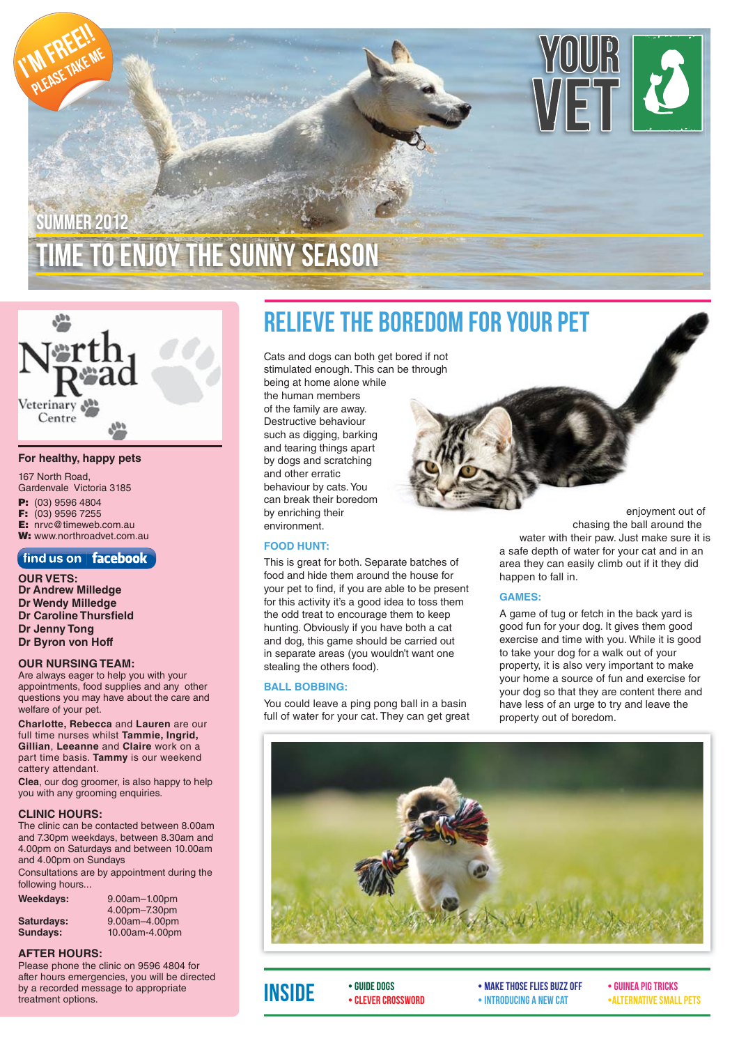



#### **For healthy, happy pets**

- 167 North Road, Gardenvale Victoria 3185 **P:** (03) 9596 4804 **F:** (03) 9596 7255
- **E:** nrvc@timeweb.com.au
- **W:** www.northroadvet.com.au

### find us on  $|$  facebook

**OUR VETS: Dr Andrew Milledge Dr Wendy Milledge Dr Caroline Thursfield Dr Jenny Tong Dr Byron von Hoff**

#### **OUR NURSING TEAM:**

Are always eager to help you with your appointments, food supplies and any other questions you may have about the care and welfare of your pet.

**Charlotte, Rebecca** and **Lauren** are our full time nurses whilst **Tammie, Ingrid, Gillian**, **Leeanne** and **Claire** work on a part time basis. **Tammy** is our weekend cattery attendant.

**Clea**, our dog groomer, is also happy to help you with any grooming enquiries.

#### **CLINIC HOURS:**

The clinic can be contacted between 8.00am and 7.30pm weekdays, between 8.30am and 4.00pm on Saturdays and between 10.00am and 4.00pm on Sundays

Consultations are by appointment during the following hours...

| Weekdays:  |  |
|------------|--|
| Saturdays. |  |

|            | 4.00pm-7.30pm        |
|------------|----------------------|
| Saturdays: | $9.00$ am $-4.00$ pm |
| Sundays:   | 10.00am-4.00pm       |

**Weekdays:** 9.00am–1.00pm

### **AFTER HOURS:**

Please phone the clinic on 9596 4804 for after hours emergencies, you will be directed by a recorded message to appropriate treatment options.

### Relieve the Boredom for your pet

Cats and dogs can both get bored if not stimulated enough. This can be through being at home alone while the human members of the family are away. Destructive behaviour such as digging, barking and tearing things apart by dogs and scratching and other erratic behaviour by cats. You can break their boredom by enriching their environment.

#### **FOOD HUNT:**

This is great for both. Separate batches of food and hide them around the house for your pet to find, if you are able to be present for this activity it's a good idea to toss them the odd treat to encourage them to keep hunting. Obviously if you have both a cat and dog, this game should be carried out in separate areas (you wouldn't want one stealing the others food).

### **BALL BOBBING:**

You could leave a ping pong ball in a basin full of water for your cat. They can get great

enjoyment out of chasing the ball around the water with their paw. Just make sure it is a safe depth of water for your cat and in an area they can easily climb out if it they did happen to fall in.

### **GAMES:**

A game of tug or fetch in the back yard is good fun for your dog. It gives them good exercise and time with you. While it is good to take your dog for a walk out of your property, it is also very important to make your home a source of fun and exercise for your dog so that they are content there and have less of an urge to try and leave the property out of boredom.



• Guide Dogs • Clever crossword

equide dogs<br>
• Guinea Pig Tricks • Guinea Pig Tricks • Guinea Pig Tricks • Guinea Pig Tricks • Guinea Pig Tricks • Guinea Pig<br>
• Alternative small pets • Introducing a New Cat • Introducing a new cat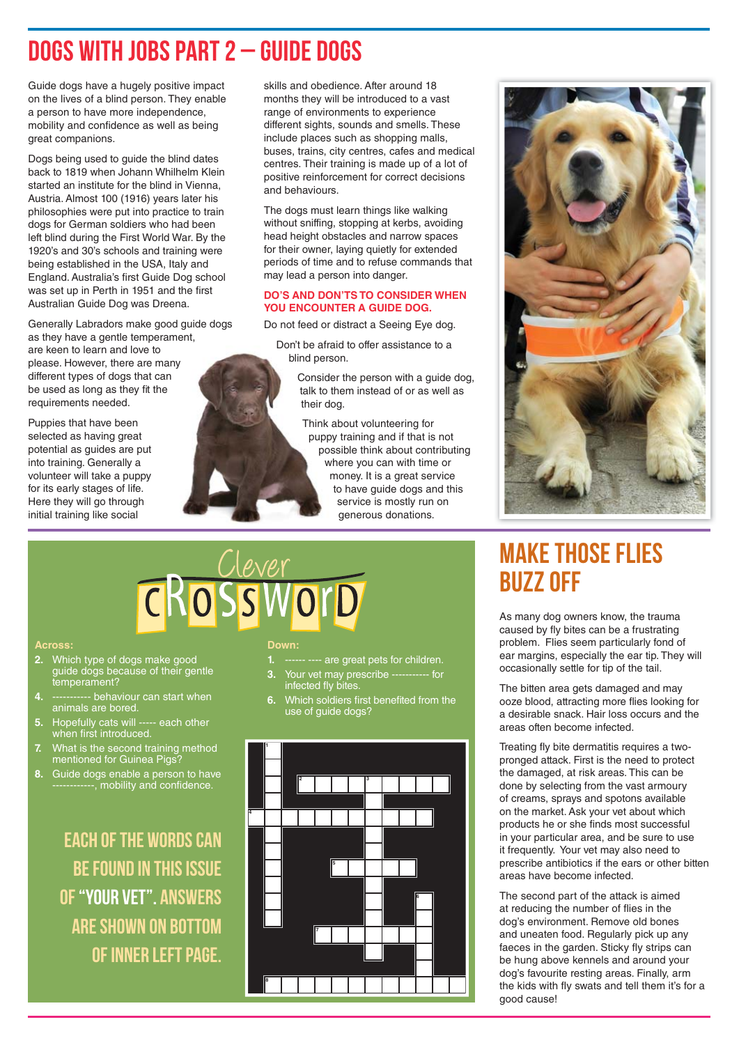### Dogs with Jobs part 2 – Guide Dogs

Guide dogs have a hugely positive impact on the lives of a blind person. They enable a person to have more independence, mobility and confidence as well as being great companions.

Dogs being used to guide the blind dates back to 1819 when Johann Whilhelm Klein started an institute for the blind in Vienna, Austria. Almost 100 (1916) years later his philosophies were put into practice to train dogs for German soldiers who had been left blind during the First World War. By the 1920's and 30's schools and training were being established in the USA, Italy and England. Australia's first Guide Dog school was set up in Perth in 1951 and the first Australian Guide Dog was Dreena.

Generally Labradors make good guide dogs as they have a gentle temperament, are keen to learn and love to please. However, there are many different types of dogs that can be used as long as they fit the requirements needed.

Puppies that have been selected as having great potential as guides are put into training. Generally a volunteer will take a puppy for its early stages of life. Here they will go through initial training like social

skills and obedience. After around 18 months they will be introduced to a vast range of environments to experience different sights, sounds and smells. These include places such as shopping malls, buses, trains, city centres, cafes and medical centres. Their training is made up of a lot of positive reinforcement for correct decisions and behaviours.

The dogs must learn things like walking without sniffing, stopping at kerbs, avoiding head height obstacles and narrow spaces for their owner, laying quietly for extended periods of time and to refuse commands that may lead a person into danger.

### **DO'S AND DON'TS TO CONSIDER WHEN YOU ENCOUNTER A GUIDE DOG.**

Do not feed or distract a Seeing Eye dog.

Don't be afraid to offer assistance to a blind person.

> Consider the person with a guide dog, talk to them instead of or as well as their dog.

Think about volunteering for puppy training and if that is not possible think about contributing where you can with time or money. It is a great service to have guide dogs and this service is mostly run on generous donations.



# CROSSWOrD

#### **Across:**

- **2.** Which type of dogs make good guide dogs because of their gentle temperament?
- **4.** ----------- behaviour can start when animals are bored.
- **5.** Hopefully cats will ----- each other when first introduced.
- **7.** What is the second training method mentioned for Guinea Pigs?
- **8.** Guide dogs enable a person to have -----------, mobility and confidence.

Each of the words can be found in this issue of "Your vet". Answers are shown on bottom of inner left page.

#### **Down:**

- **1.** ------ ---- are great pets for children.
- **3.** Your vet may prescribe ----------- for infected fly bites.
- **6.** Which soldiers first benefited from the use of guide dogs?



### Make those flies **BUZZ OFF**

As many dog owners know, the trauma caused by fly bites can be a frustrating problem. Flies seem particularly fond of ear margins, especially the ear tip. They will occasionally settle for tip of the tail.

The bitten area gets damaged and may ooze blood, attracting more flies looking for a desirable snack. Hair loss occurs and the areas often become infected.

Treating fly bite dermatitis requires a twopronged attack. First is the need to protect the damaged, at risk areas. This can be done by selecting from the vast armoury of creams, sprays and spotons available on the market. Ask your vet about which products he or she finds most successful in your particular area, and be sure to use it frequently. Your vet may also need to prescribe antibiotics if the ears or other bitten areas have become infected.

The second part of the attack is aimed at reducing the number of flies in the dog's environment. Remove old bones and uneaten food. Regularly pick up any faeces in the garden. Sticky fly strips can be hung above kennels and around your dog's favourite resting areas. Finally, arm the kids with fly swats and tell them it's for a good cause!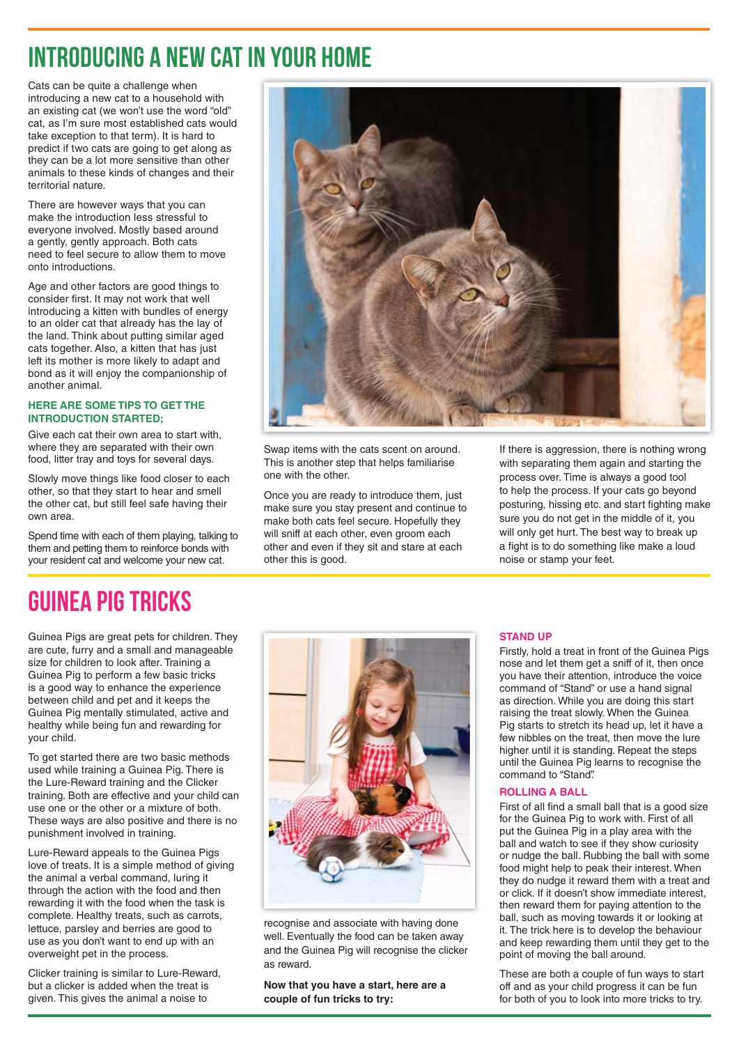### Introducing a new cat in your home

Cats can be quite a challenge when introducing a new cat to a household with an existing cat (we won't use the word "old" cat, as I'm sure most established cats would take exception to that term). It is hard to predict if two cats are going to get along as they can be a lot more sensitive than other animals to these kinds of changes and their territorial nature.

There are however ways that you can make the introduction less stressful to everyone involved. Mostly based around a gently, gently approach. Both cats need to feel secure to allow them to move onto introductions.

Age and other factors are good things to consider first. It may not work that well introducing a kitten with bundles of energy to an older cat that already has the lay of the land. Think about putting similar aged cats together. Also, a kitten that has just left its mother is more likely to adapt and bond as it will enjoy the companionship of another animal.

### **HERE ARE SOME TIPS TO GET THE INTRODUCTION STARTED;**

Give each cat their own area to start with, where they are separated with their own food, litter tray and toys for several days.

Slowly move things like food closer to each other, so that they start to hear and smell the other cat, but still feel safe having their own area.

Spend time with each of them playing, talking to them and petting them to reinforce bonds with your resident cat and welcome your new cat.



Swap items with the cats scent on around. This is another step that helps familiarise one with the other.

Once you are ready to introduce them, just make sure you stay present and continue to make both cats feel secure. Hopefully they will sniff at each other, even groom each other and even if they sit and stare at each other this is good.

If there is aggression, there is nothing wrong with separating them again and starting the process over. Time is always a good tool to help the process. If your cats go beyond posturing, hissing etc. and start fighting make sure you do not get in the middle of it, you will only get hurt. The best way to break up a fight is to do something like make a loud noise or stamp your feet.

## GUINEA PIG TRICKS

Guinea Pigs are great pets for children. They are cute, furry and a small and manageable size for children to look after. Training a Guinea Pig to perform a few basic tricks is a good way to enhance the experience between child and pet and it keeps the Guinea Pig mentally stimulated, active and healthy while being fun and rewarding for your child.

To get started there are two basic methods used while training a Guinea Pig. There is the Lure-Reward training and the Clicker training. Both are effective and your child can use one or the other or a mixture of both. These ways are also positive and there is no punishment involved in training.

Lure-Reward appeals to the Guinea Pigs love of treats. It is a simple method of giving the animal a verbal command, luring it through the action with the food and then rewarding it with the food when the task is complete. Healthy treats, such as carrots, lettuce, parsley and berries are good to use as you don't want to end up with an overweight pet in the process.

Clicker training is similar to Lure-Reward, but a clicker is added when the treat is given. This gives the animal a noise to



recognise and associate with having done well. Eventually the food can be taken away and the Guinea Pig will recognise the clicker as reward.

**Now that you have a start, here are a couple of fun tricks to try:**

### **STAND UP**

Firstly, hold a treat in front of the Guinea Pigs nose and let them get a sniff of it, then once you have their attention, introduce the voice command of "Stand" or use a hand signal as direction. While you are doing this start raising the treat slowly. When the Guinea Pig starts to stretch its head up, let it have a few nibbles on the treat, then move the lure higher until it is standing. Repeat the steps until the Guinea Pig learns to recognise the command to "Stand".

### **ROLLING A BALL**

First of all find a small ball that is a good size for the Guinea Pig to work with. First of all put the Guinea Pig in a play area with the ball and watch to see if they show curiosity or nudge the ball. Rubbing the ball with some food might help to peak their interest. When they do nudge it reward them with a treat and or click. If it doesn't show immediate interest, then reward them for paying attention to the ball, such as moving towards it or looking at it. The trick here is to develop the behaviour and keep rewarding them until they get to the point of moving the ball around.

These are both a couple of fun ways to start off and as your child progress it can be fun for both of you to look into more tricks to try.